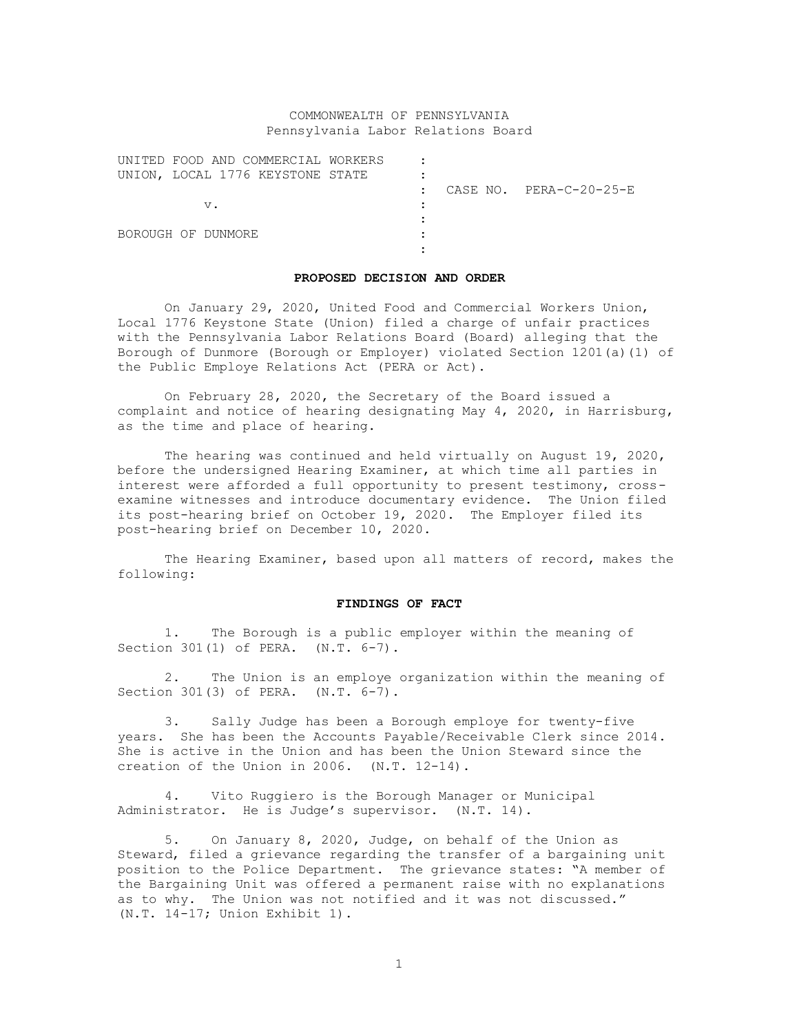## COMMONWEALTH OF PENNSYLVANIA Pennsylvania Labor Relations Board

|                    | UNITED FOOD AND COMMERCIAL WORKERS |  |                         |
|--------------------|------------------------------------|--|-------------------------|
|                    | UNION, LOCAL 1776 KEYSTONE STATE   |  |                         |
|                    |                                    |  | CASE NO. PERA-C-20-25-E |
| $V$ .              |                                    |  |                         |
|                    |                                    |  |                         |
| BOROUGH OF DUNMORE |                                    |  |                         |
|                    |                                    |  |                         |

#### **PROPOSED DECISION AND ORDER**

On January 29, 2020, United Food and Commercial Workers Union, Local 1776 Keystone State (Union) filed a charge of unfair practices with the Pennsylvania Labor Relations Board (Board) alleging that the Borough of Dunmore (Borough or Employer) violated Section 1201(a)(1) of the Public Employe Relations Act (PERA or Act).

On February 28, 2020, the Secretary of the Board issued a complaint and notice of hearing designating May 4, 2020, in Harrisburg, as the time and place of hearing.

The hearing was continued and held virtually on August 19, 2020, before the undersigned Hearing Examiner, at which time all parties in interest were afforded a full opportunity to present testimony, crossexamine witnesses and introduce documentary evidence. The Union filed its post-hearing brief on October 19, 2020. The Employer filed its post-hearing brief on December 10, 2020.

The Hearing Examiner, based upon all matters of record, makes the following:

### **FINDINGS OF FACT**

1. The Borough is a public employer within the meaning of Section 301(1) of PERA. (N.T. 6-7).

2. The Union is an employe organization within the meaning of Section 301(3) of PERA. (N.T. 6-7).

3. Sally Judge has been a Borough employe for twenty-five years. She has been the Accounts Payable/Receivable Clerk since 2014. She is active in the Union and has been the Union Steward since the creation of the Union in 2006. (N.T. 12-14).

4. Vito Ruggiero is the Borough Manager or Municipal Administrator. He is Judge's supervisor. (N.T. 14).

5. On January 8, 2020, Judge, on behalf of the Union as Steward, filed a grievance regarding the transfer of a bargaining unit position to the Police Department. The grievance states: "A member of the Bargaining Unit was offered a permanent raise with no explanations as to why. The Union was not notified and it was not discussed." (N.T. 14-17; Union Exhibit 1).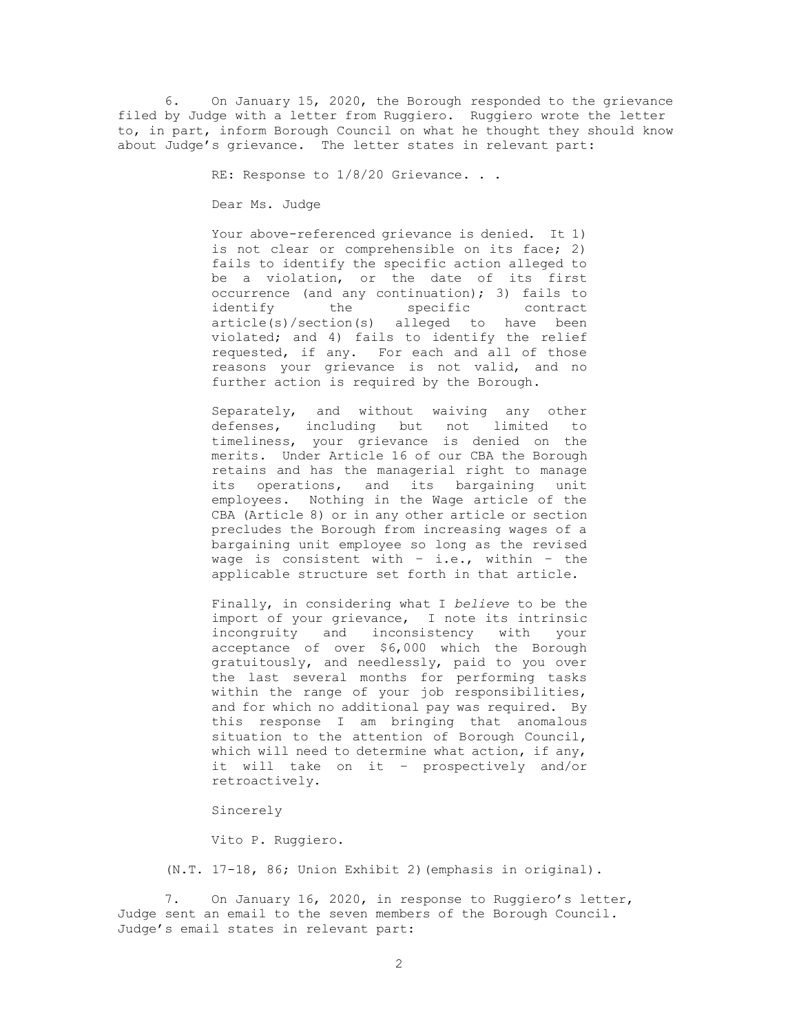6. On January 15, 2020, the Borough responded to the grievance filed by Judge with a letter from Ruggiero. Ruggiero wrote the letter to, in part, inform Borough Council on what he thought they should know about Judge's grievance. The letter states in relevant part:

RE: Response to  $1/8/20$  Grievance. . .

Dear Ms. Judge

Your above-referenced grievance is denied. It 1) is not clear or comprehensible on its face; 2) fails to identify the specific action alleged to be a violation, or the date of its first occurrence (and any continuation); 3) fails to identify the specific contract article(s)/section(s) alleged to have been violated; and 4) fails to identify the relief requested, if any. For each and all of those reasons your grievance is not valid, and no further action is required by the Borough.

Separately, and without waiving any other defenses, including but not limited to timeliness, your grievance is denied on the merits. Under Article 16 of our CBA the Borough retains and has the managerial right to manage its operations, and its bargaining unit employees. Nothing in the Wage article of the CBA (Article 8) or in any other article or section precludes the Borough from increasing wages of a bargaining unit employee so long as the revised wage is consistent with – i.e., within – the applicable structure set forth in that article.

Finally, in considering what I *believe* to be the import of your grievance, I note its intrinsic incongruity and inconsistency with your acceptance of over \$6,000 which the Borough gratuitously, and needlessly, paid to you over the last several months for performing tasks within the range of your job responsibilities, and for which no additional pay was required. By this response I am bringing that anomalous situation to the attention of Borough Council, which will need to determine what action, if any, it will take on it – prospectively and/or retroactively.

Sincerely

Vito P. Ruggiero.

(N.T. 17-18, 86; Union Exhibit 2)(emphasis in original).

7. On January 16, 2020, in response to Ruggiero's letter, Judge sent an email to the seven members of the Borough Council. Judge's email states in relevant part: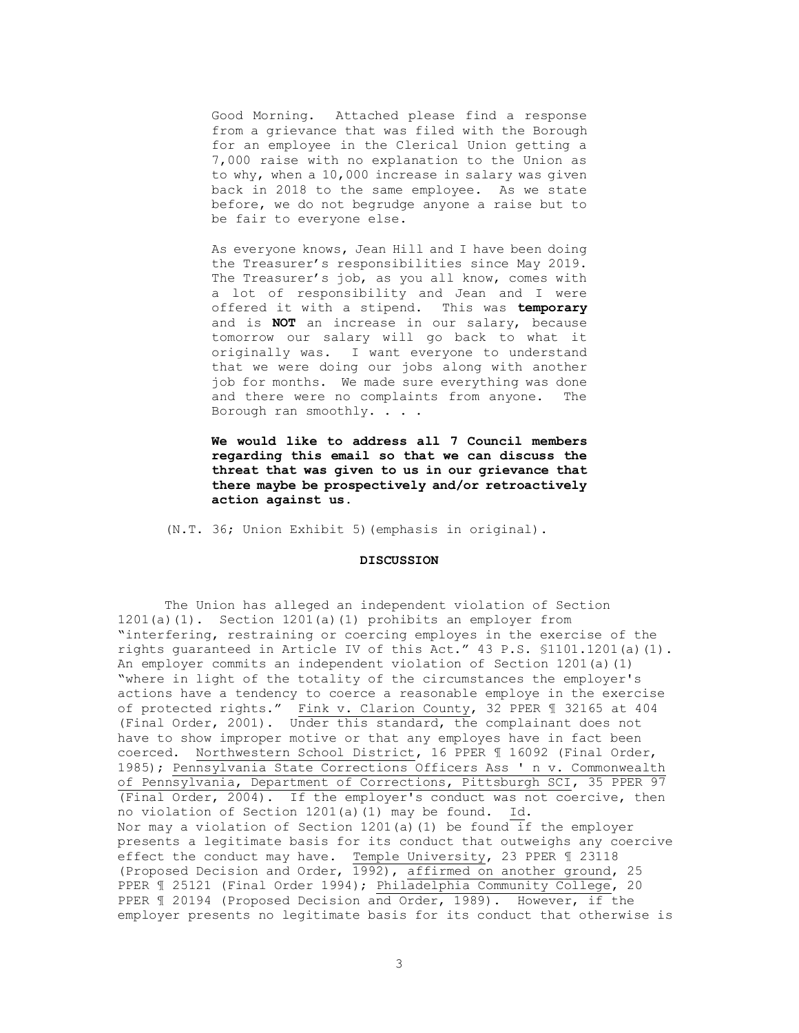Good Morning. Attached please find a response from a grievance that was filed with the Borough for an employee in the Clerical Union getting a 7,000 raise with no explanation to the Union as to why, when a 10,000 increase in salary was given back in 2018 to the same employee. As we state before, we do not begrudge anyone a raise but to be fair to everyone else.

As everyone knows, Jean Hill and I have been doing the Treasurer's responsibilities since May 2019. The Treasurer's job, as you all know, comes with a lot of responsibility and Jean and I were offered it with a stipend. This was **temporary** and is **NOT** an increase in our salary, because tomorrow our salary will go back to what it originally was. I want everyone to understand that we were doing our jobs along with another job for months. We made sure everything was done and there were no complaints from anyone. The Borough ran smoothly. . . .

**We would like to address all 7 Council members regarding this email so that we can discuss the threat that was given to us in our grievance that there maybe be prospectively and/or retroactively action against us.**

(N.T. 36; Union Exhibit 5)(emphasis in original).

#### **DISCUSSION**

The Union has alleged an independent violation of Section 1201(a)(1). Section 1201(a)(1) prohibits an employer from "interfering, restraining or coercing employes in the exercise of the rights guaranteed in Article IV of this Act." 43 P.S. §1101.1201(a)(1). An employer commits an independent violation of Section 1201(a)(1) "where in light of the totality of the circumstances the employer's actions have a tendency to coerce a reasonable employe in the exercise of protected rights." Fink v. Clarion County, 32 PPER ¶ 32165 at 404 (Final Order, 2001). Under this standard, the complainant does not have to show improper motive or that any employes have in fact been coerced. Northwestern School District, 16 PPER ¶ 16092 (Final Order, 1985); Pennsylvania State Corrections Officers Ass ' n v. Commonwealth of Pennsylvania, Department of Corrections, Pittsburgh SCI, 35 PPER 97 (Final Order, 2004). If the employer's conduct was not coercive, then no violation of Section 1201(a)(1) may be found. Id. Nor may a violation of Section 1201(a)(1) be found if the employer presents a legitimate basis for its conduct that outweighs any coercive effect the conduct may have. Temple University, 23 PPER ¶ 23118 (Proposed Decision and Order, 1992), affirmed on another ground, 25 PPER ¶ 25121 (Final Order 1994); Philadelphia Community College, 20 PPER ¶ 20194 (Proposed Decision and Order, 1989). However, if the employer presents no legitimate basis for its conduct that otherwise is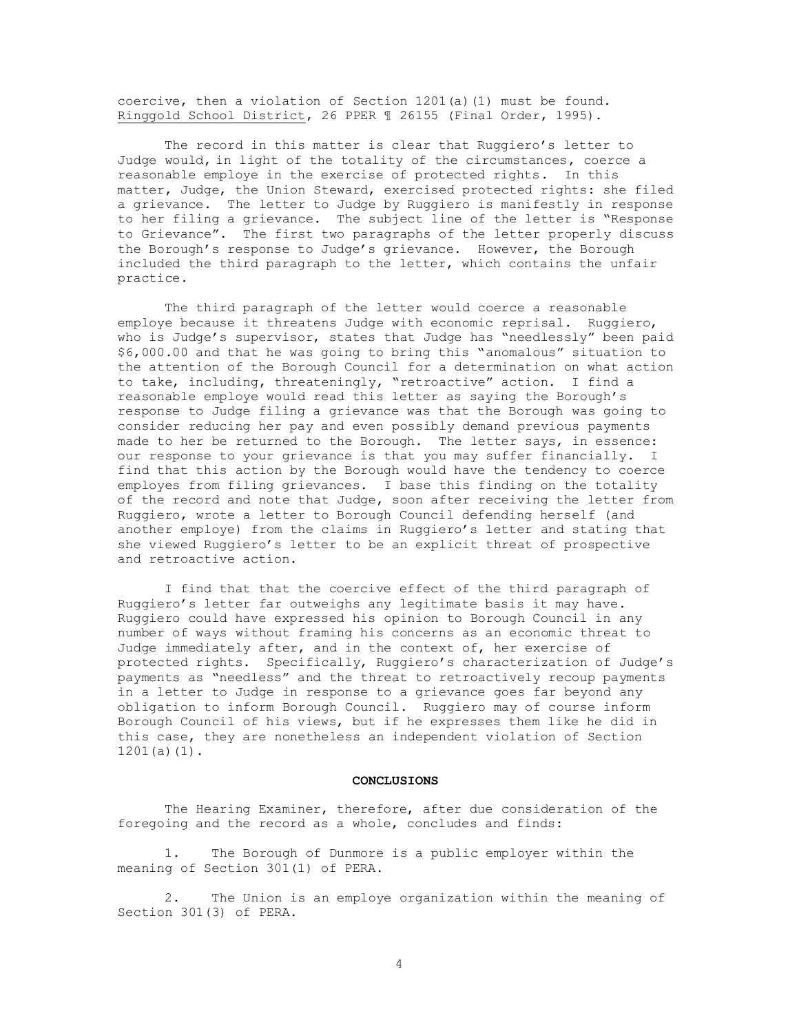coercive, then a violation of Section 1201(a)(1) must be found. Ringgold School District, 26 PPER ¶ 26155 (Final Order, 1995).

The record in this matter is clear that Ruggiero's letter to Judge would, in light of the totality of the circumstances, coerce a reasonable employe in the exercise of protected rights. In this matter, Judge, the Union Steward, exercised protected rights: she filed a grievance. The letter to Judge by Ruggiero is manifestly in response to her filing a grievance. The subject line of the letter is "Response to Grievance". The first two paragraphs of the letter properly discuss the Borough's response to Judge's grievance. However, the Borough included the third paragraph to the letter, which contains the unfair practice.

The third paragraph of the letter would coerce a reasonable employe because it threatens Judge with economic reprisal. Ruggiero, who is Judge's supervisor, states that Judge has "needlessly" been paid \$6,000.00 and that he was going to bring this "anomalous" situation to the attention of the Borough Council for a determination on what action to take, including, threateningly, "retroactive" action. I find a reasonable employe would read this letter as saying the Borough's response to Judge filing a grievance was that the Borough was going to consider reducing her pay and even possibly demand previous payments made to her be returned to the Borough. The letter says, in essence: our response to your grievance is that you may suffer financially. I find that this action by the Borough would have the tendency to coerce employes from filing grievances. I base this finding on the totality of the record and note that Judge, soon after receiving the letter from Ruggiero, wrote a letter to Borough Council defending herself (and another employe) from the claims in Ruggiero's letter and stating that she viewed Ruggiero's letter to be an explicit threat of prospective and retroactive action.

I find that that the coercive effect of the third paragraph of Ruggiero's letter far outweighs any legitimate basis it may have. Ruggiero could have expressed his opinion to Borough Council in any number of ways without framing his concerns as an economic threat to Judge immediately after, and in the context of, her exercise of protected rights. Specifically, Ruggiero's characterization of Judge's payments as "needless" and the threat to retroactively recoup payments in a letter to Judge in response to a grievance goes far beyond any obligation to inform Borough Council. Ruggiero may of course inform Borough Council of his views, but if he expresses them like he did in this case, they are nonetheless an independent violation of Section 1201(a)(1).

### **CONCLUSIONS**

The Hearing Examiner, therefore, after due consideration of the foregoing and the record as a whole, concludes and finds:

1. The Borough of Dunmore is a public employer within the meaning of Section 301(1) of PERA.

2. The Union is an employe organization within the meaning of Section 301(3) of PERA.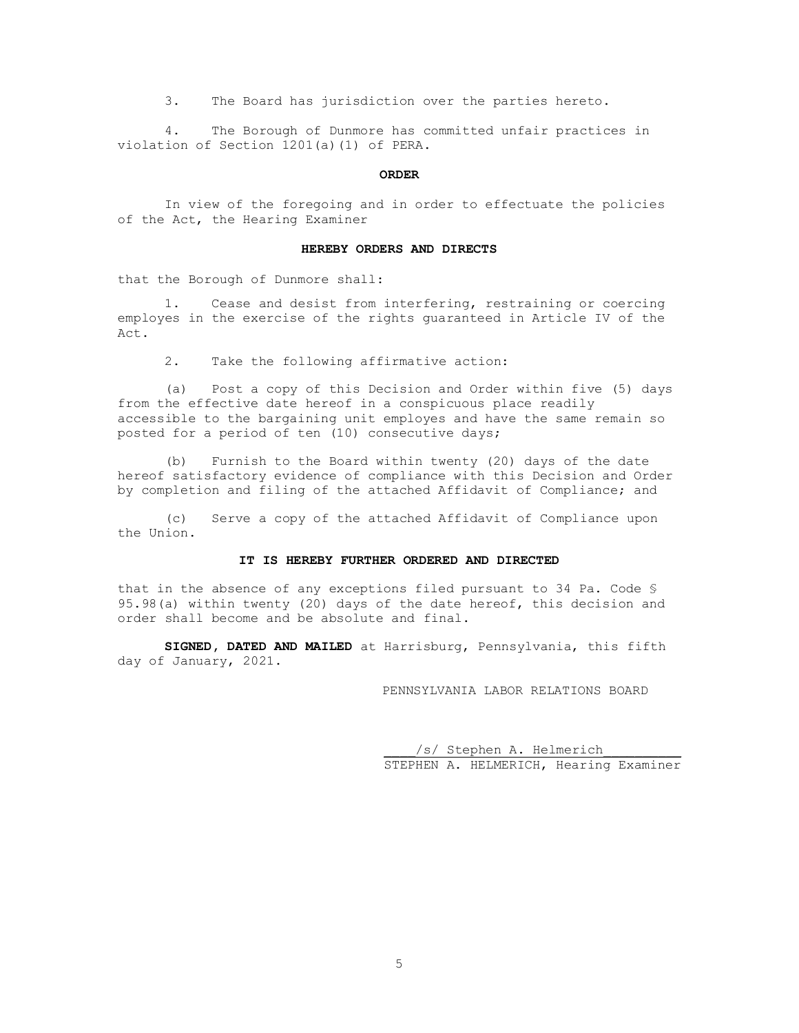3. The Board has jurisdiction over the parties hereto.

4. The Borough of Dunmore has committed unfair practices in violation of Section 1201(a)(1) of PERA.

## **ORDER**

In view of the foregoing and in order to effectuate the policies of the Act, the Hearing Examiner

#### **HEREBY ORDERS AND DIRECTS**

that the Borough of Dunmore shall:

1. Cease and desist from interfering, restraining or coercing employes in the exercise of the rights guaranteed in Article IV of the Act.

2. Take the following affirmative action:

(a) Post a copy of this Decision and Order within five (5) days from the effective date hereof in a conspicuous place readily accessible to the bargaining unit employes and have the same remain so posted for a period of ten (10) consecutive days;

(b) Furnish to the Board within twenty (20) days of the date hereof satisfactory evidence of compliance with this Decision and Order by completion and filing of the attached Affidavit of Compliance; and

(c) Serve a copy of the attached Affidavit of Compliance upon the Union.

# **IT IS HEREBY FURTHER ORDERED AND DIRECTED**

that in the absence of any exceptions filed pursuant to 34 Pa. Code § 95.98(a) within twenty (20) days of the date hereof, this decision and order shall become and be absolute and final.

**SIGNED, DATED AND MAILED** at Harrisburg, Pennsylvania, this fifth day of January, 2021.

PENNSYLVANIA LABOR RELATIONS BOARD

/s/ Stephen A. Helmerich STEPHEN A. HELMERICH, Hearing Examiner